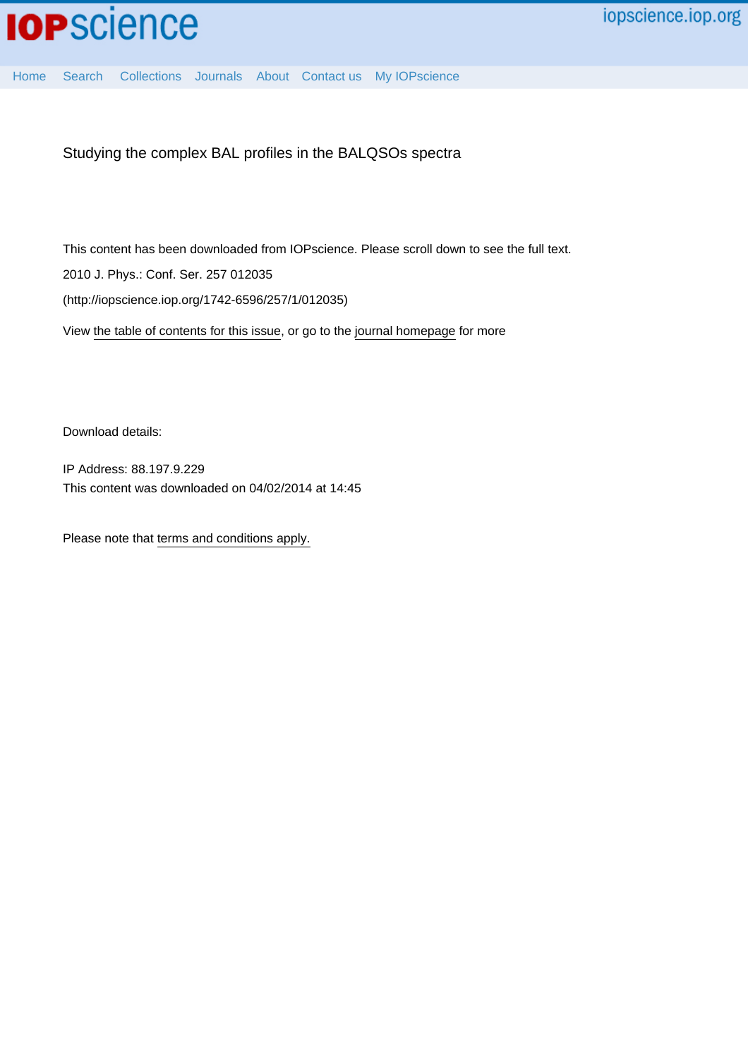[Home](http://iopscience.iop.org/) [Search](http://iopscience.iop.org/search) [Collections](http://iopscience.iop.org/collections) [Journals](http://iopscience.iop.org/journals) [About](http://iopscience.iop.org/page/aboutioppublishing) [Contact us](http://iopscience.iop.org/contact) [My IOPscience](http://iopscience.iop.org/myiopscience)

Studying the complex BAL profiles in the BALQSOs spectra

This content has been downloaded from IOPscience. Please scroll down to see the full text. 2010 J. Phys.: Conf. Ser. 257 012035 (http://iopscience.iop.org/1742-6596/257/1/012035)

View [the table of contents for this issue](http://iopscience.iop.org/1742-6596/257/1), or go to the [journal homepage](http://iopscience.iop.org/1742-6596) for more

Download details:

IP Address: 88.197.9.229 This content was downloaded on 04/02/2014 at 14:45

Please note that [terms and conditions apply.](iopscience.iop.org/page/terms)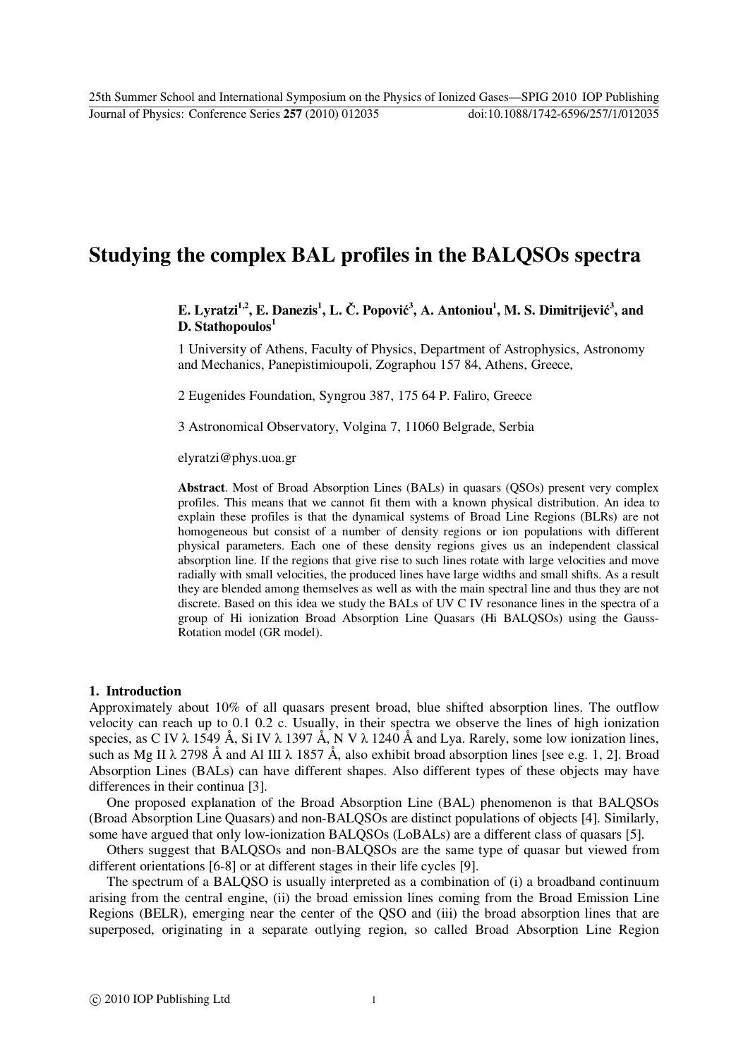# **Studying the complex BAL profiles in the BALQSOs spectra**

**E. Lyratzi1,2, E. Danezis<sup>1</sup> , L. Č. Popović 3 , A. Antoniou<sup>1</sup> , M. S. Dimitrijević 3 , and D. Stathopoulos<sup>1</sup>**

1 University of Athens, Faculty of Physics, Department of Astrophysics, Astronomy and Mechanics, Panepistimioupoli, Zographou 157 84, Athens, Greece,

2 Eugenides Foundation, Syngrou 387, 175 64 P. Faliro, Greece

3 Astronomical Observatory, Volgina 7, 11060 Belgrade, Serbia

elyratzi@phys.uoa.gr

**Abstract**. Most of Broad Absorption Lines (BALs) in quasars (QSOs) present very complex profiles. This means that we cannot fit them with a known physical distribution. An idea to explain these profiles is that the dynamical systems of Broad Line Regions (BLRs) are not homogeneous but consist of a number of density regions or ion populations with different physical parameters. Each one of these density regions gives us an independent classical absorption line. If the regions that give rise to such lines rotate with large velocities and move radially with small velocities, the produced lines have large widths and small shifts. As a result they are blended among themselves as well as with the main spectral line and thus they are not discrete. Based on this idea we study the BALs of UV C IV resonance lines in the spectra of a group of Hi ionization Broad Absorption Line Quasars (Hi BALQSOs) using the Gauss-Rotation model (GR model).

#### **1. Introduction**

Approximately about 10% of all quasars present broad, blue shifted absorption lines. The outflow velocity can reach up to 0.1 0.2 c. Usually, in their spectra we observe the lines of high ionization species, as C IV  $\lambda$  1549 Å, Si IV  $\lambda$  1397 Å, N V  $\lambda$  1240 Å and Lya. Rarely, some low ionization lines, such as Mg II  $\lambda$  2798 Å and Al III  $\lambda$  1857 Å, also exhibit broad absorption lines [see e.g. 1, 2]. Broad Absorption Lines (BALs) can have different shapes. Also different types of these objects may have differences in their continua [3].

One proposed explanation of the Broad Absorption Line (BAL) phenomenon is that BALQSOs (Broad Absorption Line Quasars) and non-BALQSOs are distinct populations of objects [4]. Similarly, some have argued that only low-ionization BALQSOs (LoBALs) are a different class of quasars [5].

Others suggest that BALQSOs and non-BALQSOs are the same type of quasar but viewed from different orientations [6-8] or at different stages in their life cycles [9].

The spectrum of a BALQSO is usually interpreted as a combination of (i) a broadband continuum arising from the central engine, (ii) the broad emission lines coming from the Broad Emission Line Regions (BELR), emerging near the center of the QSO and (iii) the broad absorption lines that are superposed, originating in a separate outlying region, so called Broad Absorption Line Region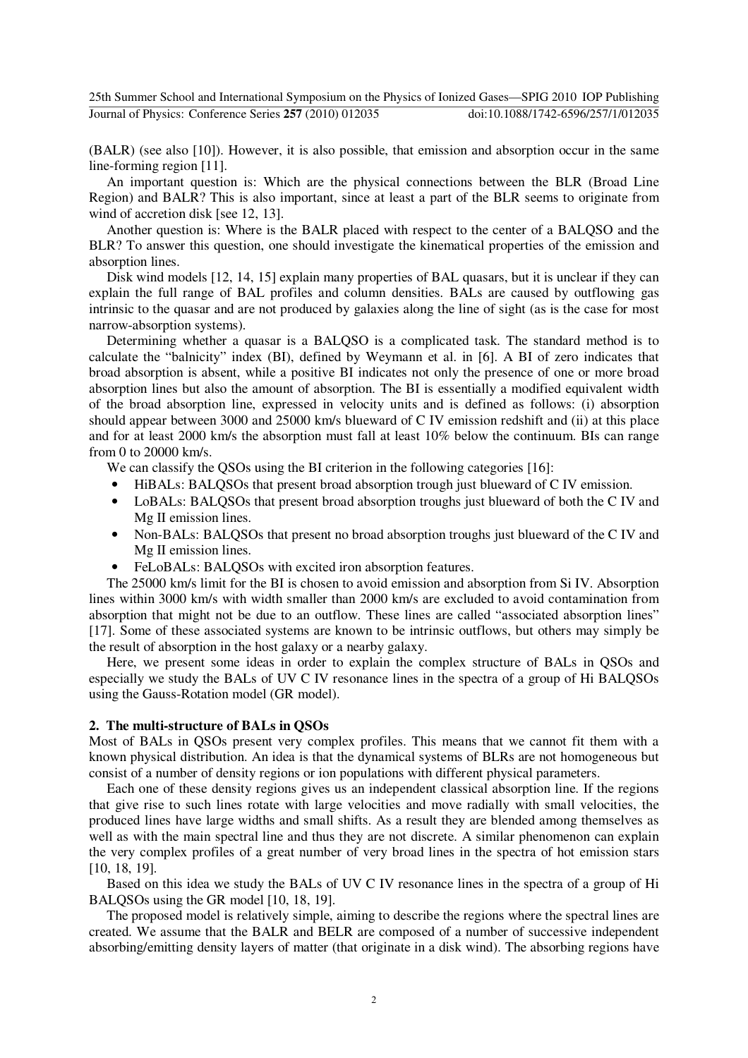(BALR) (see also [10]). However, it is also possible, that emission and absorption occur in the same line-forming region [11].

An important question is: Which are the physical connections between the BLR (Broad Line Region) and BALR? This is also important, since at least a part of the BLR seems to originate from wind of accretion disk [see 12, 13].

Another question is: Where is the BALR placed with respect to the center of a BALQSO and the BLR? To answer this question, one should investigate the kinematical properties of the emission and absorption lines.

Disk wind models [12, 14, 15] explain many properties of BAL quasars, but it is unclear if they can explain the full range of BAL profiles and column densities. BALs are caused by outflowing gas intrinsic to the quasar and are not produced by galaxies along the line of sight (as is the case for most narrow-absorption systems).

Determining whether a quasar is a BALQSO is a complicated task. The standard method is to calculate the "balnicity" index (BI), defined by Weymann et al. in [6]. A BI of zero indicates that broad absorption is absent, while a positive BI indicates not only the presence of one or more broad absorption lines but also the amount of absorption. The BI is essentially a modified equivalent width of the broad absorption line, expressed in velocity units and is defined as follows: (i) absorption should appear between 3000 and 25000 km/s blueward of C IV emission redshift and (ii) at this place and for at least 2000 km/s the absorption must fall at least 10% below the continuum. BIs can range from 0 to 20000 km/s.

We can classify the QSOs using the BI criterion in the following categories [16]:

- HiBALs: BALQSOs that present broad absorption trough just blueward of C IV emission.
- LoBALs: BALOSOs that present broad absorption troughs just blueward of both the C IV and Mg II emission lines.
- Non-BALs: BALOSOs that present no broad absorption troughs just blueward of the C IV and Mg II emission lines.
- FeLoBALs: BALOSOs with excited iron absorption features.

The 25000 km/s limit for the BI is chosen to avoid emission and absorption from Si IV. Absorption lines within 3000 km/s with width smaller than 2000 km/s are excluded to avoid contamination from absorption that might not be due to an outflow. These lines are called "associated absorption lines" [17]. Some of these associated systems are known to be intrinsic outflows, but others may simply be the result of absorption in the host galaxy or a nearby galaxy.

Here, we present some ideas in order to explain the complex structure of BALs in QSOs and especially we study the BALs of UV C IV resonance lines in the spectra of a group of Hi BALQSOs using the Gauss-Rotation model (GR model).

## **2. The multi-structure of BALs in QSOs**

Most of BALs in QSOs present very complex profiles. This means that we cannot fit them with a known physical distribution. An idea is that the dynamical systems of BLRs are not homogeneous but consist of a number of density regions or ion populations with different physical parameters.

Each one of these density regions gives us an independent classical absorption line. If the regions that give rise to such lines rotate with large velocities and move radially with small velocities, the produced lines have large widths and small shifts. As a result they are blended among themselves as well as with the main spectral line and thus they are not discrete. A similar phenomenon can explain the very complex profiles of a great number of very broad lines in the spectra of hot emission stars [10, 18, 19].

Based on this idea we study the BALs of UV C IV resonance lines in the spectra of a group of Hi BALQSOs using the GR model [10, 18, 19].

The proposed model is relatively simple, aiming to describe the regions where the spectral lines are created. We assume that the BALR and BELR are composed of a number of successive independent absorbing/emitting density layers of matter (that originate in a disk wind). The absorbing regions have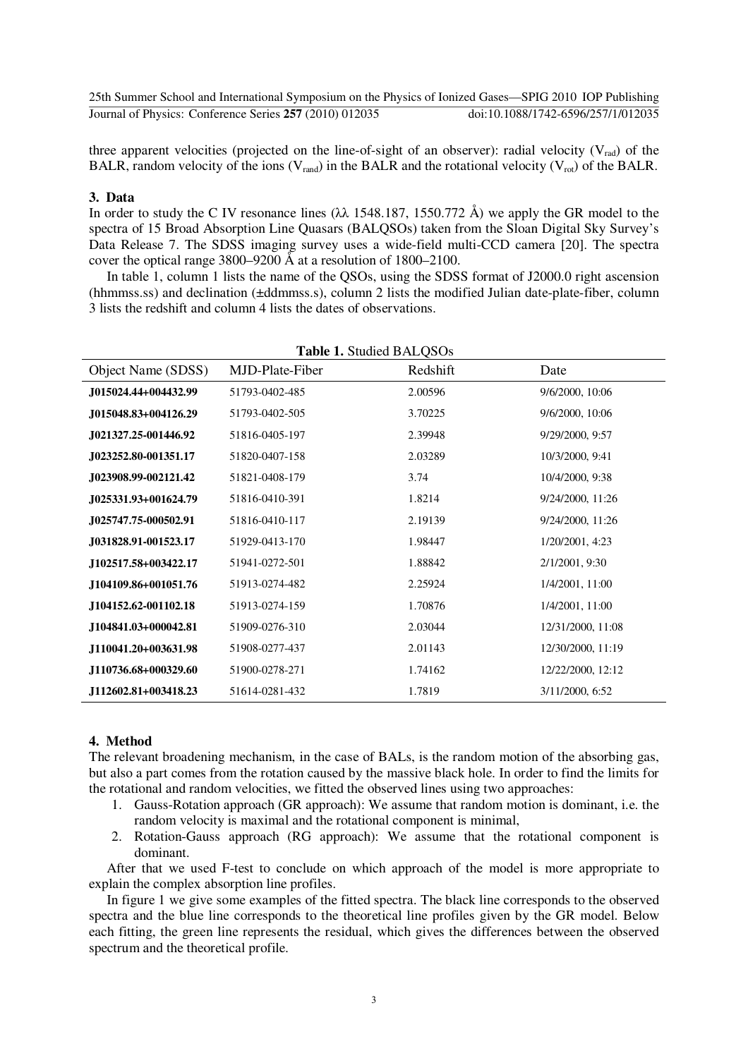three apparent velocities (projected on the line-of-sight of an observer): radial velocity ( $V_{rad}$ ) of the BALR, random velocity of the ions ( $V_{rand}$ ) in the BALR and the rotational velocity ( $V_{rot}$ ) of the BALR.

#### **3. Data**

In order to study the C IV resonance lines ( $\lambda\lambda$  1548.187, 1550.772 Å) we apply the GR model to the spectra of 15 Broad Absorption Line Quasars (BALQSOs) taken from the Sloan Digital Sky Survey's Data Release 7. The SDSS imaging survey uses a wide-field multi-CCD camera [20]. The spectra cover the optical range 3800–9200 Å at a resolution of 1800–2100.

In table 1, column 1 lists the name of the QSOs, using the SDSS format of J2000.0 right ascension (hhmmss.ss) and declination (±ddmmss.s), column 2 lists the modified Julian date-plate-fiber, column 3 lists the redshift and column 4 lists the dates of observations.

| <b>Object Name (SDSS)</b> | $1.0010$ 1.0 $0.0000$ $1.0000$<br>MJD-Plate-Fiber | Redshift | Date              |
|---------------------------|---------------------------------------------------|----------|-------------------|
| J015024.44+004432.99      | 51793-0402-485                                    | 2.00596  | 9/6/2000, 10:06   |
| ,J015048.83+004126.29     | 51793-0402-505                                    | 3.70225  | 9/6/2000, 10:06   |
| J021327.25-001446.92      | 51816-0405-197                                    | 2.39948  | 9/29/2000, 9:57   |
| J023252.80-001351.17      | 51820-0407-158                                    | 2.03289  | 10/3/2000, 9:41   |
| J023908.99-002121.42      | 51821-0408-179                                    | 3.74     | 10/4/2000, 9:38   |
| ,J025331.93+001624.79     | 51816-0410-391                                    | 1.8214   | 9/24/2000, 11:26  |
| J025747.75-000502.91      | 51816-0410-117                                    | 2.19139  | 9/24/2000, 11:26  |
| J031828.91-001523.17      | 51929-0413-170                                    | 1.98447  | 1/20/2001, 4:23   |
| J102517.58+003422.17      | 51941-0272-501                                    | 1.88842  | 2/1/2001, 9:30    |
| J104109.86+001051.76      | 51913-0274-482                                    | 2.25924  | 1/4/2001, 11:00   |
| J104152.62-001102.18      | 51913-0274-159                                    | 1.70876  | 1/4/2001, 11:00   |
| J104841.03+000042.81      | 51909-0276-310                                    | 2.03044  | 12/31/2000, 11:08 |
| J110041.20+003631.98      | 51908-0277-437                                    | 2.01143  | 12/30/2000, 11:19 |
| J110736.68+000329.60      | 51900-0278-271                                    | 1.74162  | 12/22/2000, 12:12 |
| J112602.81+003418.23      | 51614-0281-432                                    | 1.7819   | 3/11/2000, 6:52   |

**Table 1.** Studied BALQSOs

#### **4. Method**

The relevant broadening mechanism, in the case of BALs, is the random motion of the absorbing gas, but also a part comes from the rotation caused by the massive black hole. In order to find the limits for the rotational and random velocities, we fitted the observed lines using two approaches:

- 1. Gauss-Rotation approach (GR approach): We assume that random motion is dominant, i.e. the random velocity is maximal and the rotational component is minimal,
- 2. Rotation-Gauss approach (RG approach): We assume that the rotational component is dominant.

After that we used F-test to conclude on which approach of the model is more appropriate to explain the complex absorption line profiles.

In figure 1 we give some examples of the fitted spectra. The black line corresponds to the observed spectra and the blue line corresponds to the theoretical line profiles given by the GR model. Below each fitting, the green line represents the residual, which gives the differences between the observed spectrum and the theoretical profile.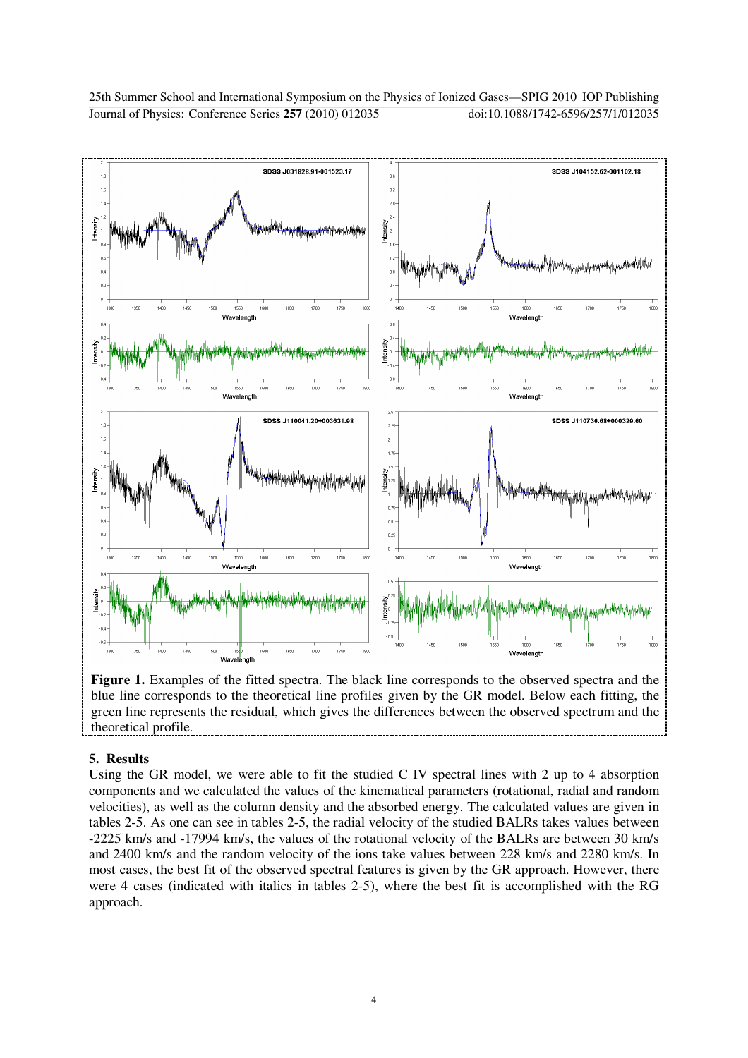

## **5. Results**

Using the GR model, we were able to fit the studied C IV spectral lines with 2 up to 4 absorption components and we calculated the values of the kinematical parameters (rotational, radial and random velocities), as well as the column density and the absorbed energy. The calculated values are given in tables 2-5. As one can see in tables 2-5, the radial velocity of the studied BALRs takes values between -2225 km/s and -17994 km/s, the values of the rotational velocity of the BALRs are between 30 km/s and 2400 km/s and the random velocity of the ions take values between 228 km/s and 2280 km/s. In most cases, the best fit of the observed spectral features is given by the GR approach. However, there were 4 cases (indicated with italics in tables 2-5), where the best fit is accomplished with the RG approach.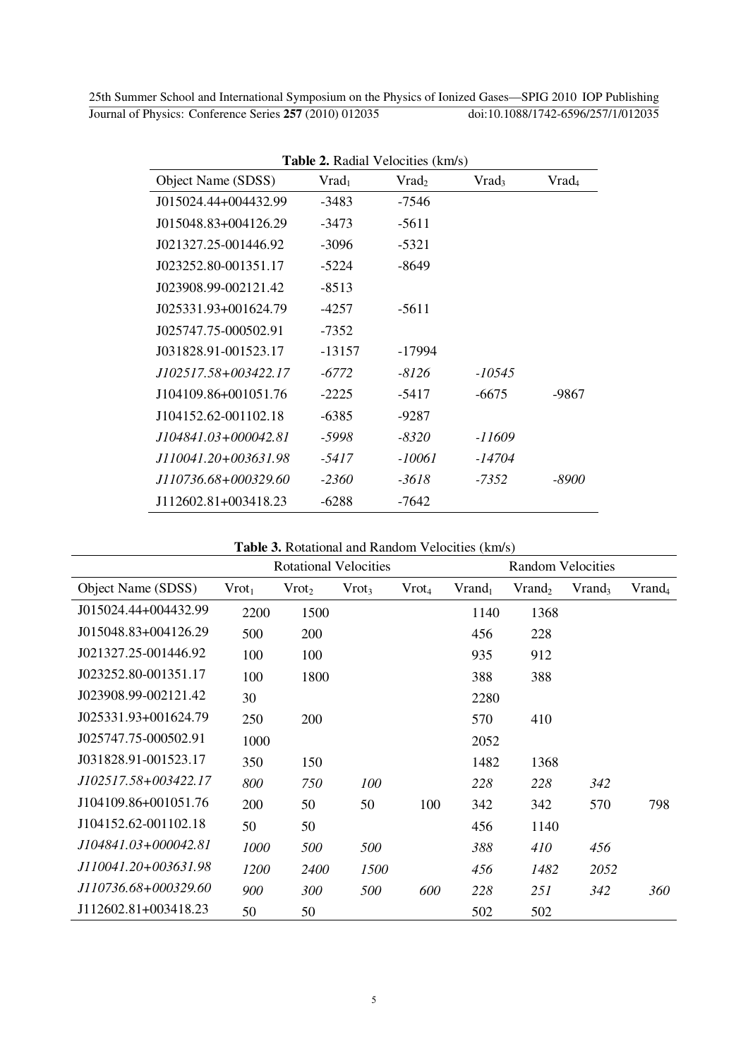| Table 2. Radial Velocities (km/s) |          |                   |                   |                   |  |  |  |  |  |
|-----------------------------------|----------|-------------------|-------------------|-------------------|--|--|--|--|--|
| Object Name (SDSS)                | $Vrad_1$ | Vrad <sub>2</sub> | Vrad <sub>3</sub> | Vrad <sub>4</sub> |  |  |  |  |  |
| J015024.44+004432.99              | -3483    | -7546             |                   |                   |  |  |  |  |  |
| J015048.83+004126.29              | $-3473$  | $-5611$           |                   |                   |  |  |  |  |  |
| J021327.25-001446.92              | $-3096$  | $-5321$           |                   |                   |  |  |  |  |  |
| J023252.80-001351.17              | $-5224$  | $-8649$           |                   |                   |  |  |  |  |  |
| J023908.99-002121.42              | $-8513$  |                   |                   |                   |  |  |  |  |  |
| J025331.93+001624.79              | $-4257$  | $-5611$           |                   |                   |  |  |  |  |  |
| J025747.75-000502.91              | -7352    |                   |                   |                   |  |  |  |  |  |
| J031828.91-001523.17              | -13157   | -17994            |                   |                   |  |  |  |  |  |
| J102517.58+003422.17              | $-6772$  | $-8126$           | -10545            |                   |  |  |  |  |  |
| J104109.86+001051.76              | $-2225$  | $-5417$           | $-6675$           | -9867             |  |  |  |  |  |
| J104152.62-001102.18              | $-6385$  | $-9287$           |                   |                   |  |  |  |  |  |
| J104841.03+000042.81              | -5998    | $-8320$           | -11609            |                   |  |  |  |  |  |
| J110041.20+003631.98              | -5417    | -10061            | -14704            |                   |  |  |  |  |  |
| J110736.68+000329.60              | $-2360$  | -3618             | -7352             | -8900             |  |  |  |  |  |
| J112602.81+003418.23              | $-6288$  | -7642             |                   |                   |  |  |  |  |  |

|  |  | <b>Table 3.</b> Rotational and Random Velocities (km/s) |  |  |
|--|--|---------------------------------------------------------|--|--|
|--|--|---------------------------------------------------------|--|--|

|                      | <b>Rotational Velocities</b> |                   |                   |                   | <b>Random Velocities</b> |                    |           |                    |
|----------------------|------------------------------|-------------------|-------------------|-------------------|--------------------------|--------------------|-----------|--------------------|
| Object Name (SDSS)   | Vrot <sub>1</sub>            | Vrot <sub>2</sub> | Vrot <sub>3</sub> | Vrot <sub>4</sub> | $Vrand_1$                | Vrand <sub>2</sub> | $Vrand_3$ | Vrand <sub>4</sub> |
| J015024.44+004432.99 | 2200                         | 1500              |                   |                   | 1140                     | 1368               |           |                    |
| J015048.83+004126.29 | 500                          | 200               |                   |                   | 456                      | 228                |           |                    |
| J021327.25-001446.92 | 100                          | 100               |                   |                   | 935                      | 912                |           |                    |
| J023252.80-001351.17 | 100                          | 1800              |                   |                   | 388                      | 388                |           |                    |
| J023908.99-002121.42 | 30                           |                   |                   |                   | 2280                     |                    |           |                    |
| J025331.93+001624.79 | 250                          | 200               |                   |                   | 570                      | 410                |           |                    |
| J025747.75-000502.91 | 1000                         |                   |                   |                   | 2052                     |                    |           |                    |
| J031828.91-001523.17 | 350                          | 150               |                   |                   | 1482                     | 1368               |           |                    |
| J102517.58+003422.17 | 800                          | 750               | 100               |                   | 228                      | 228                | 342       |                    |
| J104109.86+001051.76 | 200                          | 50                | 50                | 100               | 342                      | 342                | 570       | 798                |
| J104152.62-001102.18 | 50                           | 50                |                   |                   | 456                      | 1140               |           |                    |
| J104841.03+000042.81 | 1000                         | 500               | 500               |                   | 388                      | 410                | 456       |                    |
| J110041.20+003631.98 | 1200                         | 2400              | 1500              |                   | 456                      | 1482               | 2052      |                    |
| J110736.68+000329.60 | 900                          | 300               | 500               | 600               | 228                      | 251                | 342       | 360                |
| J112602.81+003418.23 | 50                           | 50                |                   |                   | 502                      | 502                |           |                    |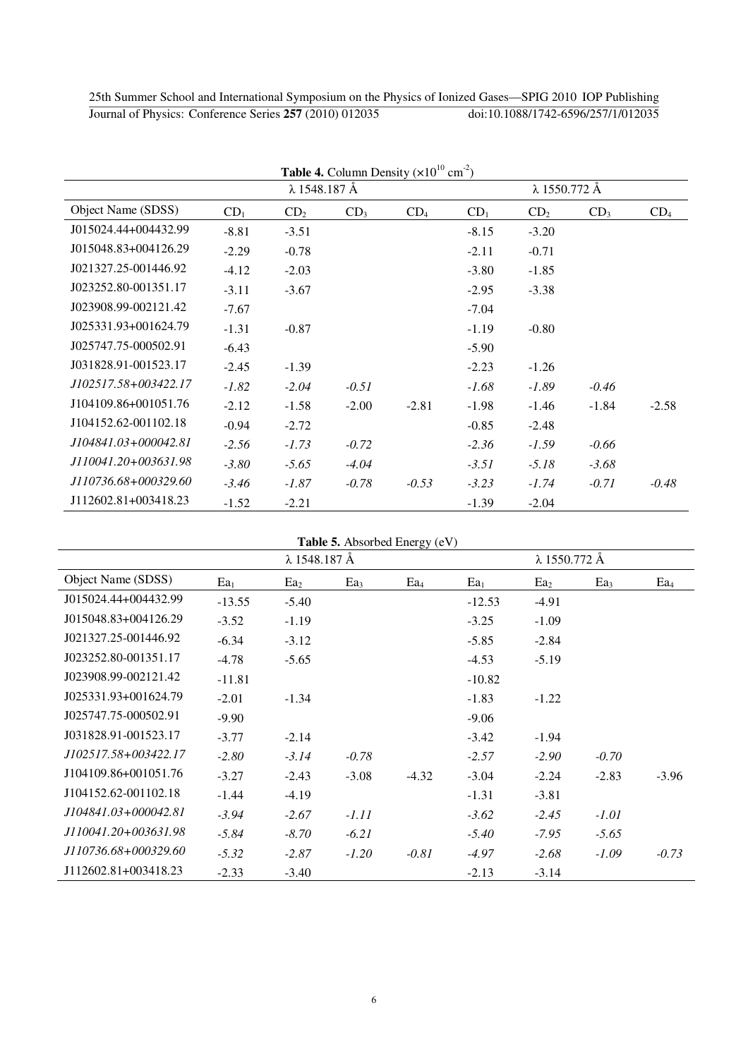|                      | <b>Table 4.</b> Coldmin Density ( $\lambda$ 10 Cm $\beta$ )<br>$\lambda$ 1548.187 Å |                 |                 |                 | λ 1550.772 Å    |                 |                 |         |
|----------------------|-------------------------------------------------------------------------------------|-----------------|-----------------|-----------------|-----------------|-----------------|-----------------|---------|
| Object Name (SDSS)   | CD <sub>1</sub>                                                                     | CD <sub>2</sub> | CD <sub>3</sub> | CD <sub>4</sub> | CD <sub>1</sub> | CD <sub>2</sub> | CD <sub>3</sub> | $CD_4$  |
| J015024.44+004432.99 | $-8.81$                                                                             | $-3.51$         |                 |                 | $-8.15$         | $-3.20$         |                 |         |
| J015048.83+004126.29 | $-2.29$                                                                             | $-0.78$         |                 |                 | $-2.11$         | $-0.71$         |                 |         |
| J021327.25-001446.92 | $-4.12$                                                                             | $-2.03$         |                 |                 | $-3.80$         | $-1.85$         |                 |         |
| J023252.80-001351.17 | $-3.11$                                                                             | $-3.67$         |                 |                 | $-2.95$         | $-3.38$         |                 |         |
| J023908.99-002121.42 | $-7.67$                                                                             |                 |                 |                 | $-7.04$         |                 |                 |         |
| J025331.93+001624.79 | $-1.31$                                                                             | $-0.87$         |                 |                 | $-1.19$         | $-0.80$         |                 |         |
| J025747.75-000502.91 | $-6.43$                                                                             |                 |                 |                 | $-5.90$         |                 |                 |         |
| J031828.91-001523.17 | $-2.45$                                                                             | $-1.39$         |                 |                 | $-2.23$         | $-1.26$         |                 |         |
| J102517.58+003422.17 | $-1.82$                                                                             | $-2.04$         | $-0.51$         |                 | $-1.68$         | $-1.89$         | $-0.46$         |         |
| J104109.86+001051.76 | $-2.12$                                                                             | $-1.58$         | $-2.00$         | $-2.81$         | $-1.98$         | $-1.46$         | $-1.84$         | $-2.58$ |
| J104152.62-001102.18 | $-0.94$                                                                             | $-2.72$         |                 |                 | $-0.85$         | $-2.48$         |                 |         |
| J104841.03+000042.81 | $-2.56$                                                                             | $-1.73$         | $-0.72$         |                 | $-2.36$         | $-1.59$         | $-0.66$         |         |
| J110041.20+003631.98 | $-3.80$                                                                             | $-5.65$         | $-4.04$         |                 | $-3.51$         | $-5.18$         | $-3.68$         |         |
| J110736.68+000329.60 | $-3.46$                                                                             | $-1.87$         | $-0.78$         | $-0.53$         | $-3.23$         | $-1.74$         | $-0.71$         | $-0.48$ |
| J112602.81+003418.23 | $-1.52$                                                                             | $-2.21$         |                 |                 | $-1.39$         | $-2.04$         |                 |         |

**Table 4.** Column Density  $(x10^{10} \text{ cm}^2)$ 

**Table 5.** Absorbed Energy (eV)

|                      |          | λ 1548.187 Å    |                 |                 | λ 1550.772 Å |                 |                 |                 |
|----------------------|----------|-----------------|-----------------|-----------------|--------------|-----------------|-----------------|-----------------|
| Object Name (SDSS)   | $Ea_1$   | Ea <sub>2</sub> | Ea <sub>3</sub> | Ea <sub>4</sub> | $Ea_1$       | Ea <sub>2</sub> | Ea <sub>3</sub> | Ea <sub>4</sub> |
| J015024.44+004432.99 | $-13.55$ | $-5.40$         |                 |                 | $-12.53$     | $-4.91$         |                 |                 |
| J015048.83+004126.29 | $-3.52$  | $-1.19$         |                 |                 | $-3.25$      | $-1.09$         |                 |                 |
| J021327.25-001446.92 | $-6.34$  | $-3.12$         |                 |                 | $-5.85$      | $-2.84$         |                 |                 |
| J023252.80-001351.17 | $-4.78$  | $-5.65$         |                 |                 | $-4.53$      | $-5.19$         |                 |                 |
| J023908.99-002121.42 | $-11.81$ |                 |                 |                 | $-10.82$     |                 |                 |                 |
| J025331.93+001624.79 | $-2.01$  | $-1.34$         |                 |                 | $-1.83$      | $-1.22$         |                 |                 |
| J025747.75-000502.91 | $-9.90$  |                 |                 |                 | $-9.06$      |                 |                 |                 |
| J031828.91-001523.17 | $-3.77$  | $-2.14$         |                 |                 | $-3.42$      | $-1.94$         |                 |                 |
| J102517.58+003422.17 | $-2.80$  | $-3.14$         | $-0.78$         |                 | $-2.57$      | $-2.90$         | $-0.70$         |                 |
| J104109.86+001051.76 | $-3.27$  | $-2.43$         | $-3.08$         | $-4.32$         | $-3.04$      | $-2.24$         | $-2.83$         | $-3.96$         |
| J104152.62-001102.18 | $-1.44$  | $-4.19$         |                 |                 | $-1.31$      | $-3.81$         |                 |                 |
| J104841.03+000042.81 | $-3.94$  | $-2.67$         | $-1.11$         |                 | $-3.62$      | $-2.45$         | $-1.01$         |                 |
| J110041.20+003631.98 | $-5.84$  | $-8.70$         | $-6.21$         |                 | $-5.40$      | -7.95           | $-5.65$         |                 |
| J110736.68+000329.60 | $-5.32$  | $-2.87$         | $-1.20$         | $-0.81$         | $-4.97$      | $-2.68$         | $-1.09$         | $-0.73$         |
| J112602.81+003418.23 | $-2.33$  | $-3.40$         |                 |                 | $-2.13$      | $-3.14$         |                 |                 |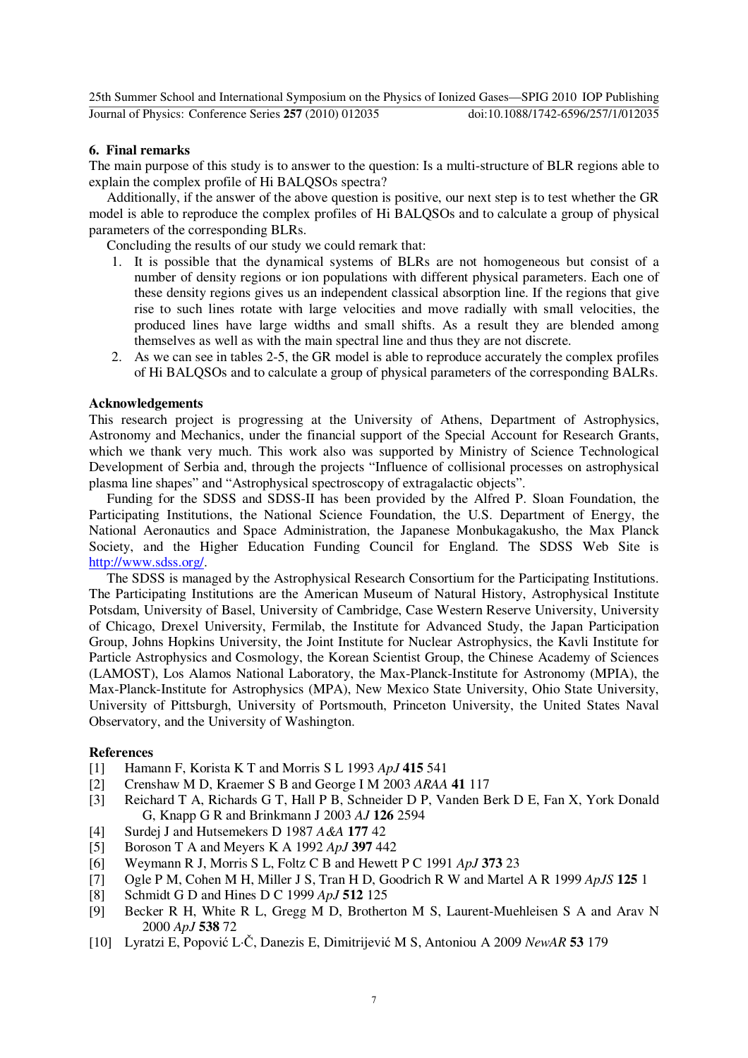## **6. Final remarks**

The main purpose of this study is to answer to the question: Is a multi-structure of BLR regions able to explain the complex profile of Hi BALQSOs spectra?

Additionally, if the answer of the above question is positive, our next step is to test whether the GR model is able to reproduce the complex profiles of Hi BALQSOs and to calculate a group of physical parameters of the corresponding BLRs.

Concluding the results of our study we could remark that:

- 1. It is possible that the dynamical systems of BLRs are not homogeneous but consist of a number of density regions or ion populations with different physical parameters. Each one of these density regions gives us an independent classical absorption line. If the regions that give rise to such lines rotate with large velocities and move radially with small velocities, the produced lines have large widths and small shifts. As a result they are blended among themselves as well as with the main spectral line and thus they are not discrete.
- 2. As we can see in tables 2-5, the GR model is able to reproduce accurately the complex profiles of Hi BALQSOs and to calculate a group of physical parameters of the corresponding BALRs.

### **Acknowledgements**

This research project is progressing at the University of Athens, Department of Astrophysics, Astronomy and Mechanics, under the financial support of the Special Account for Research Grants, which we thank very much. This work also was supported by Ministry of Science Technological Development of Serbia and, through the projects "Influence of collisional processes on astrophysical plasma line shapes" and "Astrophysical spectroscopy of extragalactic objects".

Funding for the SDSS and SDSS-II has been provided by the Alfred P. Sloan Foundation, the Participating Institutions, the National Science Foundation, the U.S. Department of Energy, the National Aeronautics and Space Administration, the Japanese Monbukagakusho, the Max Planck Society, and the Higher Education Funding Council for England. The SDSS Web Site is http://www.sdss.org/.

The SDSS is managed by the Astrophysical Research Consortium for the Participating Institutions. The Participating Institutions are the American Museum of Natural History, Astrophysical Institute Potsdam, University of Basel, University of Cambridge, Case Western Reserve University, University of Chicago, Drexel University, Fermilab, the Institute for Advanced Study, the Japan Participation Group, Johns Hopkins University, the Joint Institute for Nuclear Astrophysics, the Kavli Institute for Particle Astrophysics and Cosmology, the Korean Scientist Group, the Chinese Academy of Sciences (LAMOST), Los Alamos National Laboratory, the Max-Planck-Institute for Astronomy (MPIA), the Max-Planck-Institute for Astrophysics (MPA), New Mexico State University, Ohio State University, University of Pittsburgh, University of Portsmouth, Princeton University, the United States Naval Observatory, and the University of Washington.

## **References**

- [1] Hamann F, Korista K T and Morris S L 1993 *ApJ* **415** 541
- [2] Crenshaw M D, Kraemer S B and George I M 2003 *ARAA* **41** 117
- [3] Reichard T A, Richards G T, Hall P B, Schneider D P, Vanden Berk D E, Fan X, York Donald G, Knapp G R and Brinkmann J 2003 *AJ* **126** 2594
- [4] Surdej J and Hutsemekers D 1987 *A&A* **177** 42
- [5] Boroson T A and Meyers K A 1992 *ApJ* **397** 442
- [6] Weymann R J, Morris S L, Foltz C B and Hewett P C 1991 *ApJ* **373** 23
- [7] Ogle P M, Cohen M H, Miller J S, Tran H D, Goodrich R W and Martel A R 1999 *ApJS* **125** 1
- [8] Schmidt G D and Hines D C 1999 *ApJ* **512** 125
- [9] Becker R H, White R L, Gregg M D, Brotherton M S, Laurent-Muehleisen S A and Arav N 2000 *ApJ* **538** 72
- [10] Lyratzi E, Popović L·Č, Danezis E, Dimitrijević M S, Antoniou A 2009 *NewAR* **53** 179